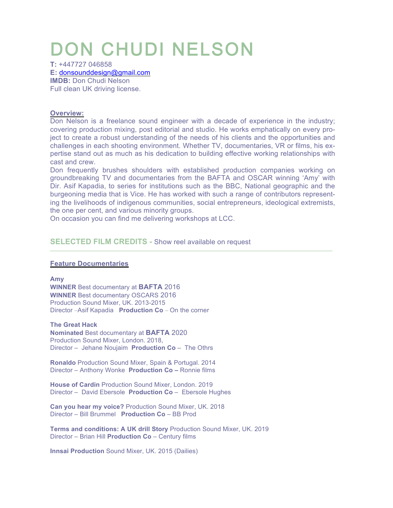# DON CHUDI NELSON

**T:** +447727 046858 **E:** donsounddesign@gmail.com **IMDB: Don Chudi Nelson** Full clean UK driving license.

## **Overview:**

Don Nelson is a freelance sound engineer with a decade of experience in the industry; covering production mixing, post editorial and studio. He works emphatically on every project to create a robust understanding of the needs of his clients and the opportunities and challenges in each shooting environment. Whether TV, documentaries, VR or films, his expertise stand out as much as his dedication to building effective working relationships with cast and crew.

Don frequently brushes shoulders with established production companies working on groundbreaking TV and documentaries from the BAFTA and OSCAR winning 'Amy' with Dir. Asif Kapadia, to series for institutions such as the BBC, National geographic and the burgeoning media that is Vice. He has worked with such a range of contributors representing the livelihoods of indigenous communities, social entrepreneurs, ideological extremists, the one per cent, and various minority groups.

**\_\_\_\_\_\_\_\_\_\_\_\_\_\_\_\_\_\_\_\_\_\_\_\_\_\_\_\_\_\_\_\_\_\_\_\_\_\_\_\_\_\_\_\_\_\_\_\_\_\_\_\_\_\_\_\_\_\_\_\_\_\_\_\_\_\_\_\_\_\_\_\_\_\_\_\_\_\_\_\_\_\_\_\_\_\_\_\_\_\_\_\_\_\_\_\_\_\_\_\_\_\_\_\_\_\_\_\_\_\_\_\_\_**

On occasion you can find me delivering workshops at LCC.

## **SELECTED FILM CREDITS -** Show reel available on request

#### **Feature Documentaries**

**Amy**

**WINNER** Best documentary at **BAFTA** 2016 **WINNER** Best documentary OSCARS 2016 Production Sound Mixer, UK. 2013-2015 Director –Asif Kapadia **Production Co** – On the corner

**The Great Hack** 

**Nominated** Best documentary at **BAFTA** 2020 Production Sound Mixer, London. 2018, Director – Jehane Noujaim **Production Co** – The Othrs

**Ronaldo** Production Sound Mixer, Spain & Portugal. 2014 Director – Anthony Wonke **Production Co –** Ronnie films

**House of Cardin** Production Sound Mixer, London. 2019 Director – David Ebersole **Production Co** – Ebersole Hughes

**Can you hear my voice?** Production Sound Mixer, UK. 2018 Director – Bill Brummel **Production Co** – BB Prod

**Terms and conditions: A UK drill Story** Production Sound Mixer, UK. 2019 Director – Brian Hill **Production Co** – Century films

**Innsai Production** Sound Mixer, UK. 2015 (Dailies)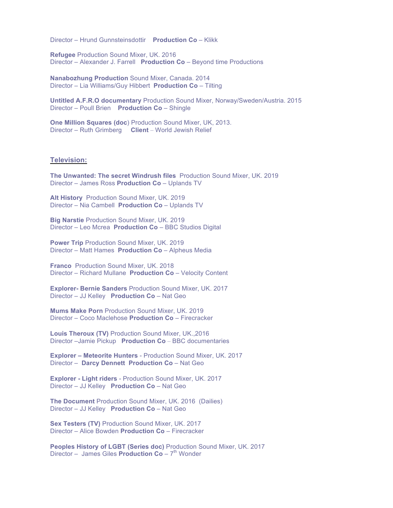Director – Hrund Gunnsteinsdottir **Production Co** – Klikk

**Refugee** Production Sound Mixer, UK. 2016 Director – Alexander J. Farrell **Production Co** – Beyond time Productions

**Nanabozhung Production** Sound Mixer, Canada. 2014 Director – Lia Williams/Guy Hibbert **Production Co** – Tilting

**Untitled A.F.R.O documentary** Production Sound Mixer, Norway/Sweden/Austria. 2015 Director – Poull Brien **Production Co** – Shingle

**One Million Squares (doc**) Production Sound Mixer, UK, 2013. Director – Ruth Grimberg **Client** – World Jewish Relief

#### **Television:**

**The Unwanted: The secret Windrush files** Production Sound Mixer, UK. 2019 Director – James Ross **Production Co** – Uplands TV

**Alt History** Production Sound Mixer, UK. 2019 Director – Nia Cambell **Production Co** – Uplands TV

**Big Narstie** Production Sound Mixer, UK. 2019 Director – Leo Mcrea **Production Co** – BBC Studios Digital

**Power Trip** Production Sound Mixer, UK. 2019 Director – Matt Hames **Production Co** – Alpheus Media

**Franco** Production Sound Mixer, UK. 2018 Director – Richard Mullane **Production Co** – Velocity Content

**Explorer- Bernie Sanders** Production Sound Mixer, UK. 2017 Director – JJ Kelley **Production Co** – Nat Geo

**Mums Make Porn** Production Sound Mixer, UK. 2019 Director – Coco Maclehose **Production Co** – Firecracker

**Louis Theroux (TV)** Production Sound Mixer, UK.,2016 Director –Jamie Pickup **Production Co** – BBC documentaries

**Explorer – Meteorite Hunters** - Production Sound Mixer, UK. 2017 Director – **Darcy Dennett Production Co** – Nat Geo

**Explorer - Light riders** - Production Sound Mixer, UK. 2017 Director – JJ Kelley **Production Co** – Nat Geo

**The Document** Production Sound Mixer, UK. 2016 (Dailies) Director – JJ Kelley **Production Co** – Nat Geo

**Sex Testers (TV)** Production Sound Mixer, UK. 2017 Director – Alice Bowden **Production Co** – Firecracker

**Peoples History of LGBT (Series doc)** Production Sound Mixer, UK. 2017 Director – James Giles **Production Co** – 7<sup>th</sup> Wonder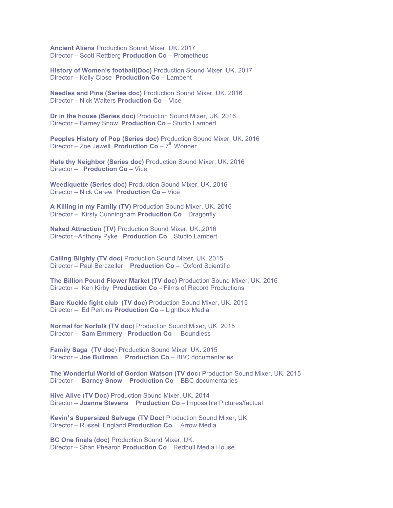**Ancient Aliens** Production Sound Mixer, UK. 2017 Director – Scott Rettberg **Production Co** – Prometheus

**History of Women's football(Doc)** Production Sound Mixer, UK. 2017 Director – Kelly Close **Production Co** – Lambent

**Needles and Pins (Series doc)** Production Sound Mixer, UK. 2016 Director – Nick Walters **Production Co** – Vice

**Dr in the house (Series doc)** Production Sound Mixer, UK. 2016 Director – Barney Snow **Production Co** – Studio Lambert

**Peoples History of Pop (Series doc)** Production Sound Mixer, UK. 2016 Director – Zoe Jewell **Production Co** – 7<sup>th</sup> Wonder

**Hate thy Neighbor (Series doc)** Production Sound Mixer, UK. 2016 Director – **Production Co** – Vice

**Weediquette (Series doc)** Production Sound Mixer, UK. 2016 Director – Nick Carew **Production Co** – Vice

**A Killing in my Family (TV)** Production Sound Mixer, UK. 2016 Director – Kirsty Cunningham **Production Co** – Dragonfly

**Naked Attraction (TV)** Production Sound Mixer, UK.,2016 Director –Anthony Pyke **Production Co** – Studio Lambert

**Calling Blighty (TV doc)** Production Sound Mixer, UK. 2015 Director – Paul Berczeller **Production Co** – Oxford Scientific

**The Billion Pound Flower Market (TV doc)** Production Sound Mixer, UK. 2016 Director – Ken Kirby **Production Co** – Films of Record Productions

**Bare Kuckle fight club (TV doc)** Production Sound Mixer, UK. 2015 Director – Ed Perkins **Production Co** – Lightbox Media

**Normal for Norfolk (TV doc**) Production Sound Mixer, UK. 2015 Director – **Sam Emmery Production Co** – Boundless

**Family Saga (TV doc**) Production Sound Mixer, UK. 2015 Director – **Joe Bullman Production Co** – BBC documentaries

**The Wonderful World of Gordon Watson (TV doc**) Production Sound Mixer, UK. 2015 Director – **Barney Snow Production Co** – BBC documentaries

**Hive Alive (TV Doc)** Production Sound Mixer, UK. 2014 Director – **Joanne Stevens Production Co** – Impossible Pictures/factual

**Kevin's Supersized Salvage (TV Doc**) Production Sound Mixer, UK. Director – Russell England **Production Co** – Arrow Media

**BC One finals (doc)** Production Sound Mixer, UK. Director – Shan Phearon **Production Co** – Redbull Media House.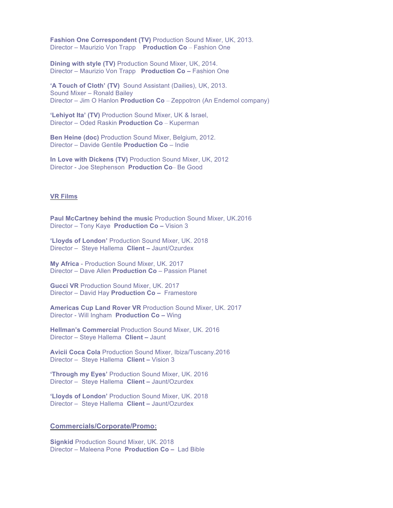**Fashion One Correspondent (TV)** Production Sound Mixer, UK, 2013. Director – Maurizio Von Trapp **Production Co** – Fashion One

**Dining with style (TV)** Production Sound Mixer, UK, 2014. Director – Maurizio Von Trapp **Production Co –** Fashion One

**'A Touch of Cloth' (TV)** Sound Assistant (Dailies), UK, 2013. Sound Mixer – Ronald Bailey Director – Jim O Hanlon **Production Co** – Zeppotron (An Endemol company)

**'Lehiyot Ita' (TV)** Production Sound Mixer, UK & Israel, Director – Oded Raskin **Production Co** – Kuperman

**Ben Heine (doc)** Production Sound Mixer, Belgium, 2012. Director – Davide Gentile **Production Co** – Indie

**In Love with Dickens (TV)** Production Sound Mixer, UK, 2012 Director - Joe Stephenson **Production Co**– Be Good

#### **VR Films**

**Paul McCartney behind the music** Production Sound Mixer, UK.2016 Director – Tony Kaye **Production Co –** Vision 3

**'Lloyds of London'** Production Sound Mixer, UK. 2018 Director – Steye Hallema **Client –** Jaunt/Ozurdex

**My Africa** - Production Sound Mixer, UK. 2017 Director – Dave Allen **Production Co** – Passion Planet

**Gucci VR** Production Sound Mixer, UK. 2017 Director – David Hay **Production Co –** Framestore

**Americas Cup Land Rover VR** Production Sound Mixer, UK. 2017 Director - Will Ingham **Production Co –** Wing

**Hellman's Commercial** Production Sound Mixer, UK. 2016 Director – Steye Hallema **Client –** Jaunt

**Avicii Coca Cola** Production Sound Mixer, Ibiza/Tuscany.2016 Director – Steye Hallema **Client –** Vision 3

**'Through my Eyes'** Production Sound Mixer, UK. 2016 Director – Steye Hallema **Client –** Jaunt/Ozurdex

**'Lloyds of London'** Production Sound Mixer, UK. 2018 Director – Steye Hallema **Client –** Jaunt/Ozurdex

#### **Commercials/Corporate/Promo:**

**Signkid** Production Sound Mixer, UK. 2018 Director – Maleena Pone **Production Co –** Lad Bible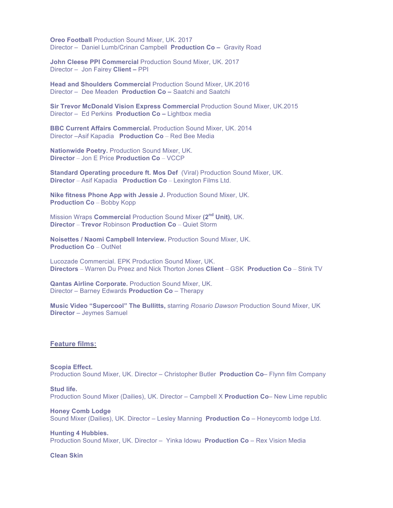**Oreo Football** Production Sound Mixer, UK. 2017 Director – Daniel Lumb/Crinan Campbell **Production Co –** Gravity Road

**John Cleese PPI Commercial** Production Sound Mixer, UK. 2017 Director – Jon Fairey **Client –** PPI

**Head and Shoulders Commercial** Production Sound Mixer, UK.2016 Director – Dee Meaden **Production Co –** Saatchi and Saatchi

**Sir Trevor McDonald Vision Express Commercial** Production Sound Mixer, UK.2015 Director – Ed Perkins **Production Co –** Lightbox media

**BBC Current Affairs Commercial.** Production Sound Mixer, UK. 2014 Director –Asif Kapadia **Production Co** – Red Bee Media

**Nationwide Poetry.** Production Sound Mixer, UK. **Director** – Jon E Price **Production Co** – VCCP

**Standard Operating procedure ft. Mos Def** (Viral) Production Sound Mixer, UK. **Director** – Asif Kapadia **Production Co** – Lexington Films Ltd.

**Nike fitness Phone App with Jessie J.** Production Sound Mixer, UK. **Production Co** – Bobby Kopp

Mission Wraps **Commercial** Production Sound Mixer **(2nd Unit)**, UK. **Director** – **Trevor** Robinson **Production Co** – Quiet Storm

**Noisettes / Naomi Campbell Interview.** Production Sound Mixer, UK. **Production Co** – OutNet

Lucozade Commercial. EPK Production Sound Mixer, UK. **Directors** – Warren Du Preez and Nick Thorton Jones **Client** – GSK **Production Co** – Stink TV

**Qantas Airline Corporate.** Production Sound Mixer, UK. Director – Barney Edwards **Production Co** – Therapy

**Music Video "Supercool" The Bullitts,** starring *Rosario Dawson* Production Sound Mixer, UK **Director** – Jeymes Samuel

#### **Feature films:**

**Scopia Effect.**  Production Sound Mixer, UK. Director – Christopher Butler **Production Co**– Flynn film Company

**Stud life.**  Production Sound Mixer (Dailies), UK. Director – Campbell X **Production Co**– New Lime republic

**Honey Comb Lodge** Sound Mixer (Dailies), UK. Director – Lesley Manning **Production Co** – Honeycomb lodge Ltd.

**Hunting 4 Hubbies.** Production Sound Mixer, UK. Director – Yinka Idowu **Production Co** – Rex Vision Media

#### **Clean Skin**